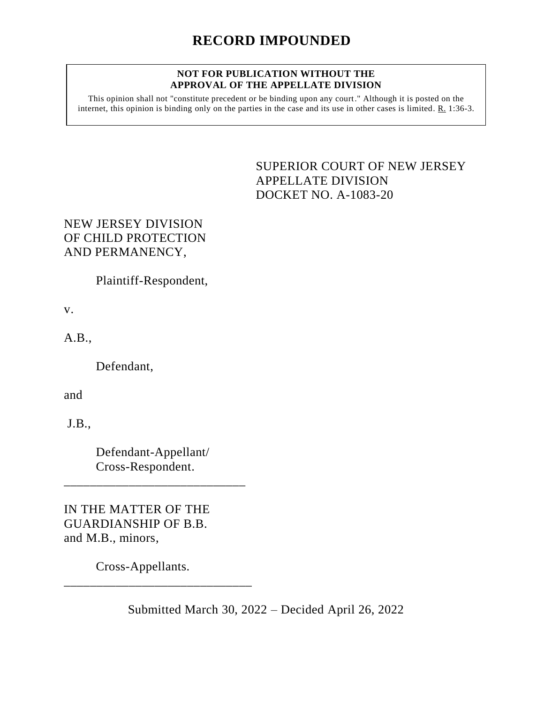## **NOT FOR PUBLICATION WITHOUT THE APPROVAL OF THE APPELLATE DIVISION**

This opinion shall not "constitute precedent or be binding upon any court." Although it is posted on the internet, this opinion is binding only on the parties in the case and its use in other cases is limited. R. 1:36-3.

> <span id="page-0-0"></span>SUPERIOR COURT OF NEW JERSEY APPELLATE DIVISION DOCKET NO. A-1083-20

## NEW JERSEY DIVISION OF CHILD PROTECTION AND PERMANENCY,

Plaintiff-Respondent,

v.

A.B.,

Defendant,

and

J.B.,

Defendant-Appellant/ Cross-Respondent.

\_\_\_\_\_\_\_\_\_\_\_\_\_\_\_\_\_\_\_\_\_\_\_\_\_\_\_\_

IN THE MATTER OF THE GUARDIANSHIP OF B.B. and M.B., minors,

Cross-Appellants.

\_\_\_\_\_\_\_\_\_\_\_\_\_\_\_\_\_\_\_\_\_\_\_\_\_\_\_\_\_

Submitted March 30, 2022 – Decided April 26, 2022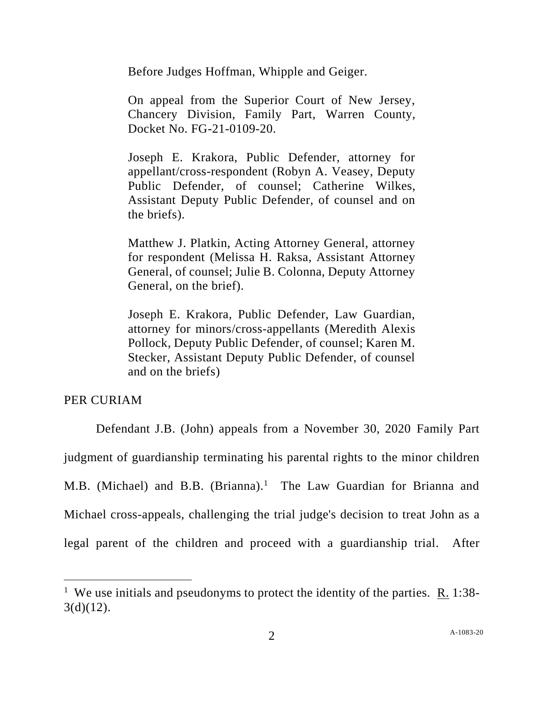Before Judges Hoffman, Whipple and Geiger.

On appeal from the Superior Court of New Jersey, Chancery Division, Family Part, Warren County, Docket No. FG-21-0109-20.

Joseph E. Krakora, Public Defender, attorney for appellant/cross-respondent (Robyn A. Veasey, Deputy Public Defender, of counsel; Catherine Wilkes, Assistant Deputy Public Defender, of counsel and on the briefs).

Matthew J. Platkin, Acting Attorney General, attorney for respondent (Melissa H. Raksa, Assistant Attorney General, of counsel; Julie B. Colonna, Deputy Attorney General, on the brief).

Joseph E. Krakora, Public Defender, Law Guardian, attorney for minors/cross-appellants (Meredith Alexis Pollock, Deputy Public Defender, of counsel; Karen M. Stecker, Assistant Deputy Public Defender, of counsel and on the briefs)

## PER CURIAM

Defendant J.B. (John) appeals from a November 30, 2020 Family Part judgment of guardianship terminating his parental rights to the minor children M.B. (Michael) and B.B. (Brianna).<sup>1</sup> The Law Guardian for Brianna and Michael cross-appeals, challenging the trial judge's decision to treat John as a legal parent of the children and proceed with a guardianship trial. After

<sup>&</sup>lt;sup>1</sup> We use initials and pseudonyms to protect the identity of the parties.  $R_1$  1:38- $3(d)(12)$ .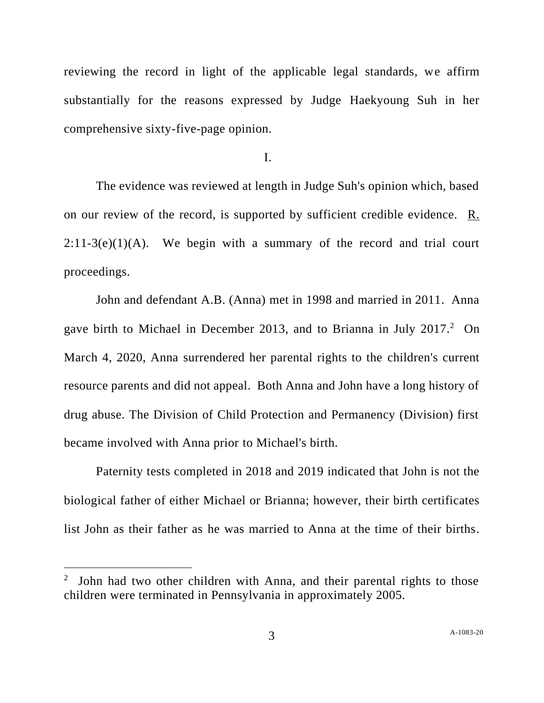reviewing the record in light of the applicable legal standards, we affirm substantially for the reasons expressed by Judge Haekyoung Suh in her comprehensive sixty-five-page opinion.

I.

The evidence was reviewed at length in Judge Suh's opinion which, based on our review of the record, is supported by sufficient credible evidence. R.  $2:11-3(e)(1)(A)$ . We begin with a summary of the record and trial court proceedings.

John and defendant A.B. (Anna) met in 1998 and married in 2011. Anna gave birth to Michael in December 2013, and to Brianna in July 2017.<sup>2</sup> On March 4, 2020, Anna surrendered her parental rights to the children's current resource parents and did not appeal. Both Anna and John have a long history of drug abuse. The Division of Child Protection and Permanency (Division) first became involved with Anna prior to Michael's birth.

Paternity tests completed in 2018 and 2019 indicated that John is not the biological father of either Michael or Brianna; however, their birth certificates list John as their father as he was married to Anna at the time of their births.

<sup>2</sup> John had two other children with Anna, and their parental rights to those children were terminated in Pennsylvania in approximately 2005.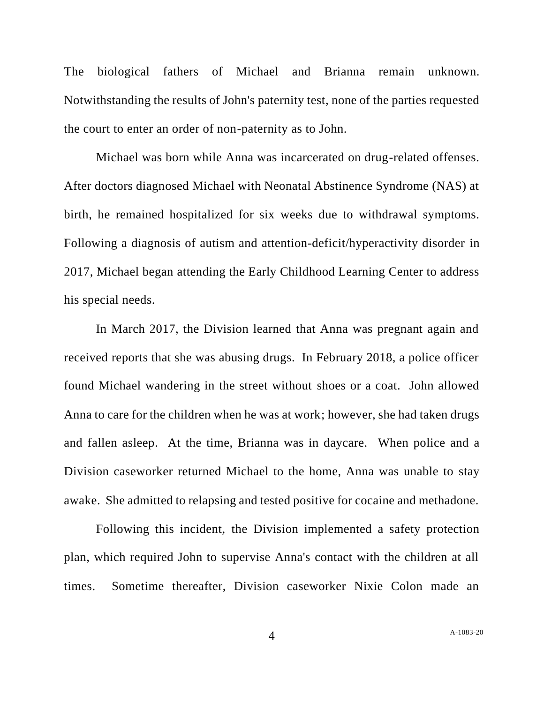The biological fathers of Michael and Brianna remain unknown. Notwithstanding the results of John's paternity test, none of the parties requested the court to enter an order of non-paternity as to John.

Michael was born while Anna was incarcerated on drug-related offenses. After doctors diagnosed Michael with Neonatal Abstinence Syndrome (NAS) at birth, he remained hospitalized for six weeks due to withdrawal symptoms. Following a diagnosis of autism and attention-deficit/hyperactivity disorder in 2017, Michael began attending the Early Childhood Learning Center to address his special needs.

In March 2017, the Division learned that Anna was pregnant again and received reports that she was abusing drugs. In February 2018, a police officer found Michael wandering in the street without shoes or a coat. John allowed Anna to care for the children when he was at work; however, she had taken drugs and fallen asleep. At the time, Brianna was in daycare. When police and a Division caseworker returned Michael to the home, Anna was unable to stay awake. She admitted to relapsing and tested positive for cocaine and methadone.

Following this incident, the Division implemented a safety protection plan, which required John to supervise Anna's contact with the children at all times. Sometime thereafter, Division caseworker Nixie Colon made an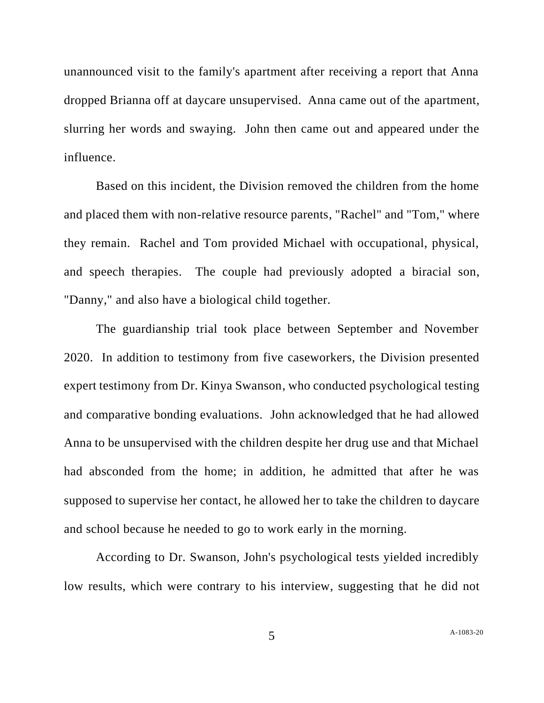unannounced visit to the family's apartment after receiving a report that Anna dropped Brianna off at daycare unsupervised. Anna came out of the apartment, slurring her words and swaying. John then came out and appeared under the influence.

Based on this incident, the Division removed the children from the home and placed them with non-relative resource parents, "Rachel" and "Tom," where they remain. Rachel and Tom provided Michael with occupational, physical, and speech therapies. The couple had previously adopted a biracial son, "Danny," and also have a biological child together.

The guardianship trial took place between September and November 2020. In addition to testimony from five caseworkers, the Division presented expert testimony from Dr. Kinya Swanson, who conducted psychological testing and comparative bonding evaluations. John acknowledged that he had allowed Anna to be unsupervised with the children despite her drug use and that Michael had absconded from the home; in addition, he admitted that after he was supposed to supervise her contact, he allowed her to take the children to daycare and school because he needed to go to work early in the morning.

According to Dr. Swanson, John's psychological tests yielded incredibly low results, which were contrary to his interview, suggesting that he did not

5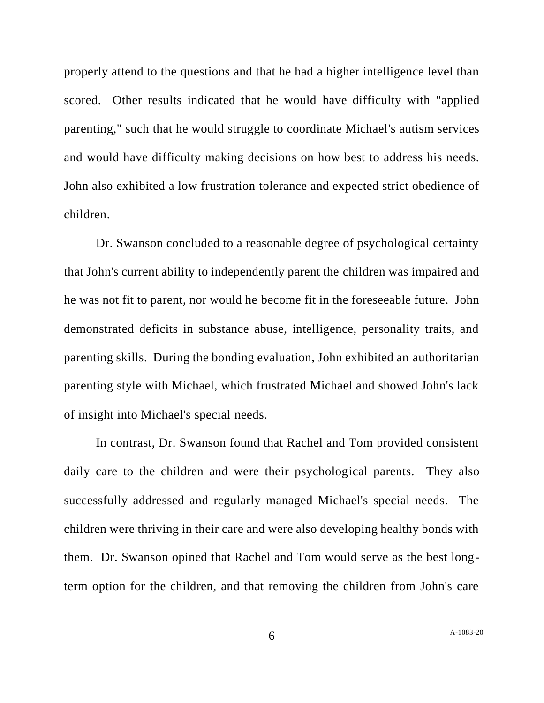properly attend to the questions and that he had a higher intelligence level than scored. Other results indicated that he would have difficulty with "applied parenting," such that he would struggle to coordinate Michael's autism services and would have difficulty making decisions on how best to address his needs. John also exhibited a low frustration tolerance and expected strict obedience of children.

Dr. Swanson concluded to a reasonable degree of psychological certainty that John's current ability to independently parent the children was impaired and he was not fit to parent, nor would he become fit in the foreseeable future. John demonstrated deficits in substance abuse, intelligence, personality traits, and parenting skills. During the bonding evaluation, John exhibited an authoritarian parenting style with Michael, which frustrated Michael and showed John's lack of insight into Michael's special needs.

In contrast, Dr. Swanson found that Rachel and Tom provided consistent daily care to the children and were their psychological parents. They also successfully addressed and regularly managed Michael's special needs. The children were thriving in their care and were also developing healthy bonds with them. Dr. Swanson opined that Rachel and Tom would serve as the best longterm option for the children, and that removing the children from John's care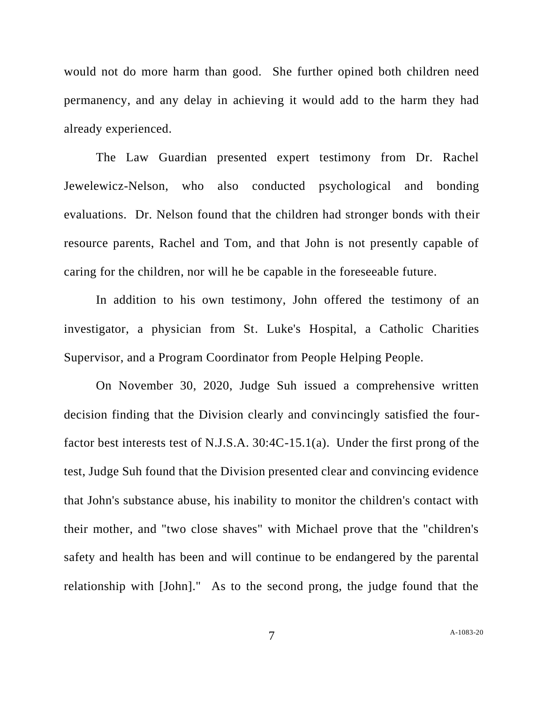would not do more harm than good. She further opined both children need permanency, and any delay in achieving it would add to the harm they had already experienced.

The Law Guardian presented expert testimony from Dr. Rachel Jewelewicz-Nelson, who also conducted psychological and bonding evaluations. Dr. Nelson found that the children had stronger bonds with their resource parents, Rachel and Tom, and that John is not presently capable of caring for the children, nor will he be capable in the foreseeable future.

In addition to his own testimony, John offered the testimony of an investigator, a physician from St. Luke's Hospital, a Catholic Charities Supervisor, and a Program Coordinator from People Helping People.

On November 30, 2020, Judge Suh issued a comprehensive written decision finding that the Division clearly and convincingly satisfied the fourfactor best interests test of N.J.S.A. 30:4C-15.1(a). Under the first prong of the test, Judge Suh found that the Division presented clear and convincing evidence that John's substance abuse, his inability to monitor the children's contact with their mother, and "two close shaves" with Michael prove that the "children's safety and health has been and will continue to be endangered by the parental relationship with [John]." As to the second prong, the judge found that the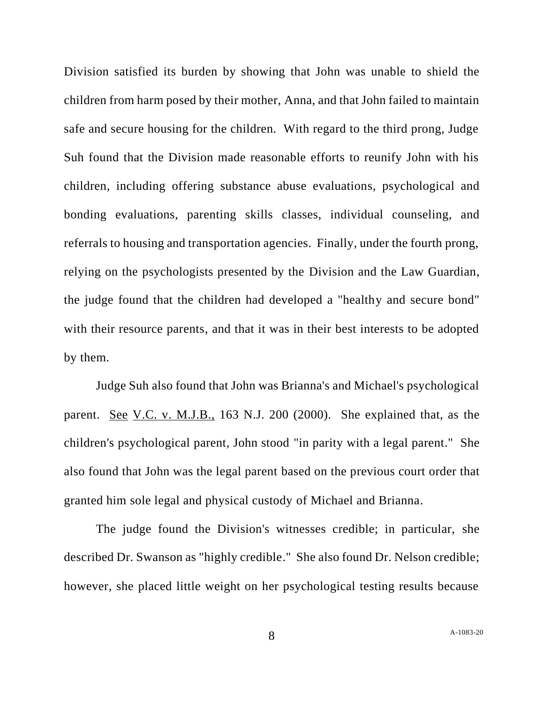Division satisfied its burden by showing that John was unable to shield the children from harm posed by their mother, Anna, and that John failed to maintain safe and secure housing for the children. With regard to the third prong, Judge Suh found that the Division made reasonable efforts to reunify John with his children, including offering substance abuse evaluations, psychological and bonding evaluations, parenting skills classes, individual counseling, and referrals to housing and transportation agencies. Finally, under the fourth prong, relying on the psychologists presented by the Division and the Law Guardian, the judge found that the children had developed a "healthy and secure bond" with their resource parents, and that it was in their best interests to be adopted by them.

Judge Suh also found that John was Brianna's and Michael's psychological parent. See V.C. v. M.J.B., 163 N.J. 200 (2000). She explained that, as the children's psychological parent, John stood "in parity with a legal parent." She also found that John was the legal parent based on the previous court order that granted him sole legal and physical custody of Michael and Brianna.

The judge found the Division's witnesses credible; in particular, she described Dr. Swanson as "highly credible." She also found Dr. Nelson credible; however, she placed little weight on her psychological testing results because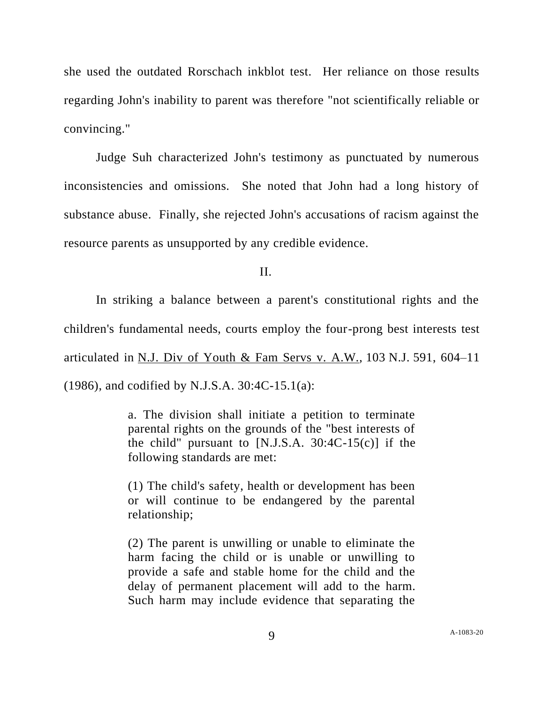she used the outdated Rorschach inkblot test. Her reliance on those results regarding John's inability to parent was therefore "not scientifically reliable or convincing."

Judge Suh characterized John's testimony as punctuated by numerous inconsistencies and omissions. She noted that John had a long history of substance abuse. Finally, she rejected John's accusations of racism against the resource parents as unsupported by any credible evidence.

II.

In striking a balance between a parent's constitutional rights and the children's fundamental needs, courts employ the four-prong best interests test articulated in N.J. Div of Youth & Fam Servs v. A.W.*,* 103 N.J. 591, 604–11 (1986), and codified by N.J.S.A. 30:4C-15.1(a):

> a. The division shall initiate a petition to terminate parental rights on the grounds of the "best interests of the child" pursuant to [N.J.S.A.  $30:4C-15(c)$ ] if the following standards are met:

> (1) The child's safety, health or development has been or will continue to be endangered by the parental relationship;

> (2) The parent is unwilling or unable to eliminate the harm facing the child or is unable or unwilling to provide a safe and stable home for the child and the delay of permanent placement will add to the harm. Such harm may include evidence that separating the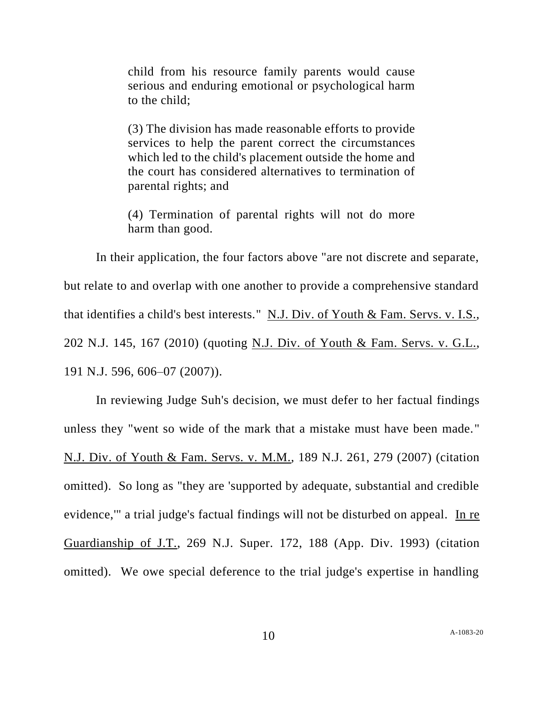child from his resource family parents would cause serious and enduring emotional or psychological harm to the child;

(3) The division has made reasonable efforts to provide services to help the parent correct the circumstances which led to the child's placement outside the home and the court has considered alternatives to termination of parental rights; and

(4) Termination of parental rights will not do more harm than good.

In their application, the four factors above "are not discrete and separate, but relate to and overlap with one another to provide a comprehensive standard that identifies a child's best interests." N.J. Div. of Youth & Fam. Servs. v. I.S., 202 N.J. 145, 167 (2010) (quoting N.J. Div. of Youth & Fam. Servs. v. G.L., 191 N.J. 596, 606–07 (2007)).

In reviewing Judge Suh's decision, we must defer to her factual findings unless they "went so wide of the mark that a mistake must have been made." N.J. Div. of Youth & Fam. Servs. v. M.M., 189 N.J. 261, 279 (2007) (citation omitted). So long as "they are 'supported by adequate, substantial and credible evidence,'" a trial judge's factual findings will not be disturbed on appeal. In re Guardianship of J.T., 269 N.J. Super. 172, 188 (App. Div. 1993) (citation omitted). We owe special deference to the trial judge's expertise in handling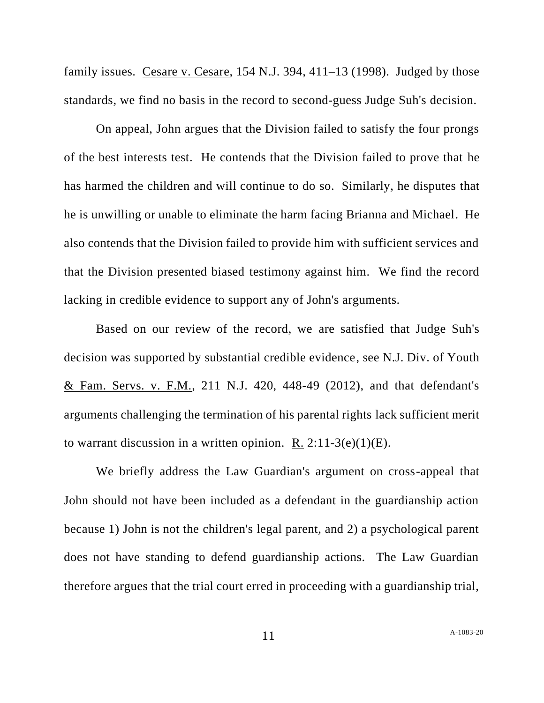family issues. Cesare v. Cesare,  $154$  N.J. 394,  $411-13$  (1998). Judged by those standards, we find no basis in the record to second-guess Judge Suh's decision.

On appeal, John argues that the Division failed to satisfy the four prongs of the best interests test. He contends that the Division failed to prove that he has harmed the children and will continue to do so. Similarly, he disputes that he is unwilling or unable to eliminate the harm facing Brianna and Michael. He also contends that the Division failed to provide him with sufficient services and that the Division presented biased testimony against him. We find the record lacking in credible evidence to support any of John's arguments.

Based on our review of the record, we are satisfied that Judge Suh's decision was supported by substantial credible evidence, see N.J. Div. of Youth & Fam. Servs. v. F.M., 211 N.J. 420, 448-49 (2012), and that defendant's arguments challenging the termination of his parental rights lack sufficient merit to warrant discussion in a written opinion. R.  $2:11-3(e)(1)(E)$ .

We briefly address the Law Guardian's argument on cross-appeal that John should not have been included as a defendant in the guardianship action because 1) John is not the children's legal parent, and 2) a psychological parent does not have standing to defend guardianship actions. The Law Guardian therefore argues that the trial court erred in proceeding with a guardianship trial,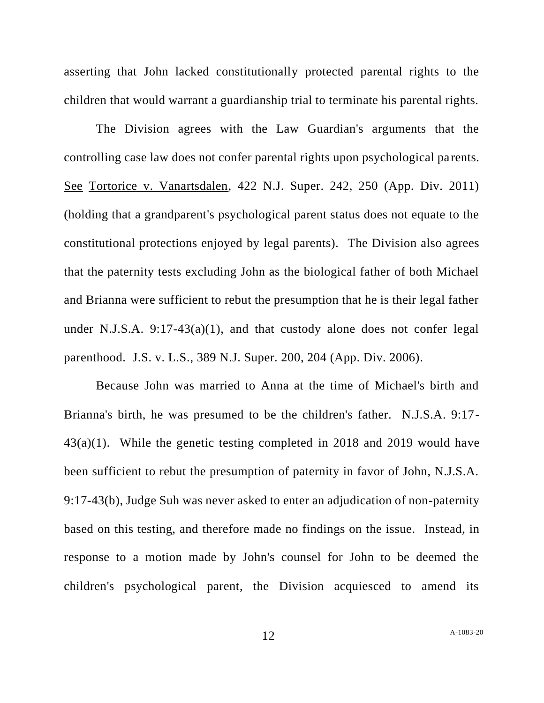asserting that John lacked constitutionally protected parental rights to the children that would warrant a guardianship trial to terminate his parental rights.

The Division agrees with the Law Guardian's arguments that the controlling case law does not confer parental rights upon psychological parents. See Tortorice v. Vanartsdalen, 422 N.J. Super. 242, 250 (App. Div. 2011) (holding that a grandparent's psychological parent status does not equate to the constitutional protections enjoyed by legal parents). The Division also agrees that the paternity tests excluding John as the biological father of both Michael and Brianna were sufficient to rebut the presumption that he is their legal father under N.J.S.A. 9:17-43(a)(1), and that custody alone does not confer legal parenthood. J.S. v. L.S., 389 N.J. Super. 200, 204 (App. Div. 2006).

Because John was married to Anna at the time of Michael's birth and Brianna's birth, he was presumed to be the children's father. N.J.S.A. 9:17- 43(a)(1). While the genetic testing completed in 2018 and 2019 would have been sufficient to rebut the presumption of paternity in favor of John, N.J.S.A. 9:17-43(b), Judge Suh was never asked to enter an adjudication of non-paternity based on this testing, and therefore made no findings on the issue. Instead, in response to a motion made by John's counsel for John to be deemed the children's psychological parent, the Division acquiesced to amend its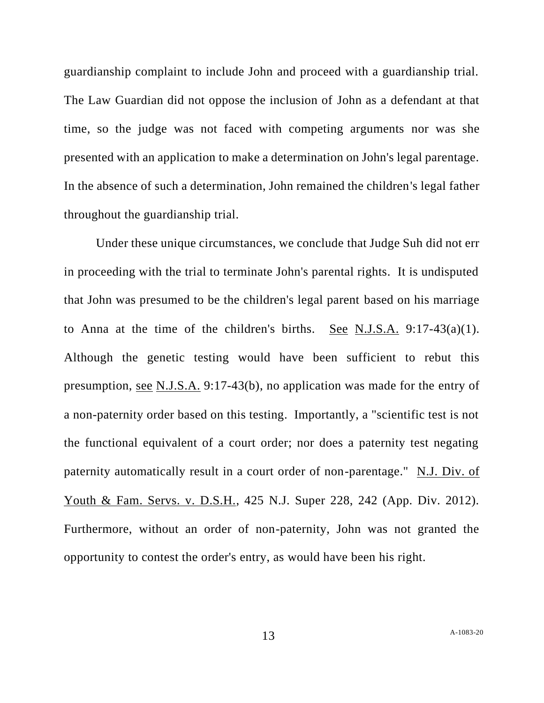guardianship complaint to include John and proceed with a guardianship trial. The Law Guardian did not oppose the inclusion of John as a defendant at that time, so the judge was not faced with competing arguments nor was she presented with an application to make a determination on John's legal parentage. In the absence of such a determination, John remained the children's legal father throughout the guardianship trial.

Under these unique circumstances, we conclude that Judge Suh did not err in proceeding with the trial to terminate John's parental rights. It is undisputed that John was presumed to be the children's legal parent based on his marriage to Anna at the time of the children's births. See N.J.S.A.  $9:17-43(a)(1)$ . Although the genetic testing would have been sufficient to rebut this presumption, see N.J.S.A. 9:17-43(b), no application was made for the entry of a non-paternity order based on this testing. Importantly, a "scientific test is not the functional equivalent of a court order; nor does a paternity test negating paternity automatically result in a court order of non-parentage." N.J. Div. of Youth & Fam. Servs. v. D.S.H., 425 N.J. Super 228, 242 (App. Div. 2012). Furthermore, without an order of non-paternity, John was not granted the opportunity to contest the order's entry, as would have been his right.